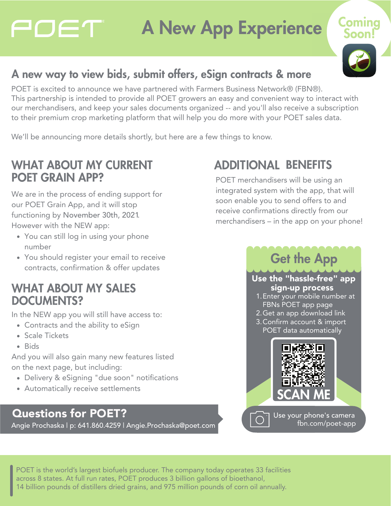# **A New App Experience**



Cominc

#### A new way to view bids, submit offers, eSign contracts & more

POET is excited to announce we have partnered with Farmers Business Network® (FBN®). This partnership is intended to provide all POET growers an easy and convenient way to interact with our merchandisers, and keep your sales documents organized -- and you'll also receive a subscription to their premium crop marketing platform that will help you do more with your POET sales data.

We'll be announcing more details shortly, but here are a few things to know.

#### **WHAT ABOUT MY CURRENT POET GRAIN APP?**

POET

We are in the process of ending support for our POET Grain App, and it will stop functioning by November 30th, 2021. However with the NEW app:

- You can still log in using your phone number
- You should register your email to receive contracts, confirmation & offer updates

#### **WHAT ABOUT MY SALES DOCUMENTS?**

In the NEW app you will still have access to:

- Contracts and the ability to eSign
- Scale Tickets
- Bids

And you will also gain many new features listed on the next page, but including:

- Delivery & eSigning "due soon" notifications
- Automatically receive settlements

#### Questions for POET?

Angie Prochaska | p: 641.860.4259 | Angie.Prochaska@poet.com

### **ADDITIONAL BENEFITS**

POET merchandisers will be using an integrated system with the app, that will soon enable you to send offers to and receive confirmations directly from our merchandisers – in the app on your phone!



POET is the world's largest biofuels producer. The company today operates 33 facilities across 8 states. At full run rates, POET produces 3 billion gallons of bioethanol, 14 billion pounds of distillers dried grains, and 975 million pounds of corn oil annually.